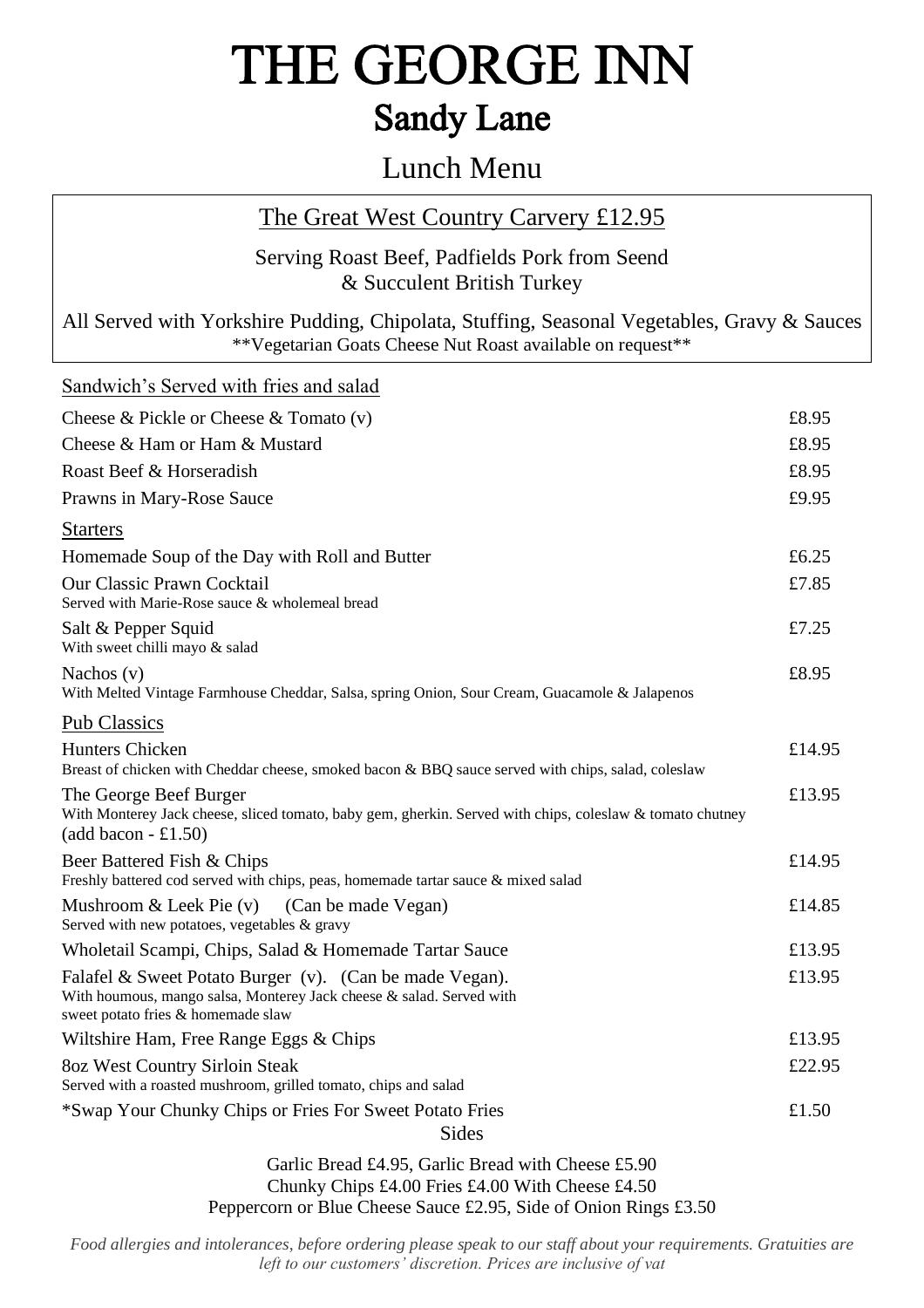## THE GEORGE INN **Sandy Lane**

### Lunch Menu

### The Great West Country Carvery £12.95

#### Serving Roast Beef, Padfields Pork from Seend & Succulent British Turkey

All Served with Yorkshire Pudding, Chipolata, Stuffing, Seasonal Vegetables, Gravy & Sauces \*\*Vegetarian Goats Cheese Nut Roast available on request\*\*

| Sandwich's Served with fries and salad                                                                                                                                |        |
|-----------------------------------------------------------------------------------------------------------------------------------------------------------------------|--------|
| Cheese & Pickle or Cheese & Tomato $(v)$                                                                                                                              | £8.95  |
| Cheese & Ham or Ham & Mustard                                                                                                                                         | £8.95  |
| Roast Beef & Horseradish                                                                                                                                              | £8.95  |
| Prawns in Mary-Rose Sauce                                                                                                                                             | £9.95  |
| <b>Starters</b>                                                                                                                                                       |        |
| Homemade Soup of the Day with Roll and Butter                                                                                                                         | £6.25  |
| <b>Our Classic Prawn Cocktail</b><br>Served with Marie-Rose sauce & wholemeal bread                                                                                   | £7.85  |
| Salt & Pepper Squid<br>With sweet chilli mayo & salad                                                                                                                 | £7.25  |
| Nachos $(v)$<br>With Melted Vintage Farmhouse Cheddar, Salsa, spring Onion, Sour Cream, Guacamole & Jalapenos                                                         | £8.95  |
| <b>Pub Classics</b>                                                                                                                                                   |        |
| <b>Hunters Chicken</b><br>Breast of chicken with Cheddar cheese, smoked bacon & BBQ sauce served with chips, salad, coleslaw                                          | £14.95 |
| The George Beef Burger<br>With Monterey Jack cheese, sliced tomato, baby gem, gherkin. Served with chips, coleslaw & tomato chutney<br>$(add bacon - £1.50)$          | £13.95 |
| Beer Battered Fish & Chips<br>Freshly battered cod served with chips, peas, homemade tartar sauce & mixed salad                                                       | £14.95 |
| Mushroom $&$ Leek Pie $(v)$<br>(Can be made Vegan)<br>Served with new potatoes, vegetables & gravy                                                                    | £14.85 |
| Wholetail Scampi, Chips, Salad & Homemade Tartar Sauce                                                                                                                | £13.95 |
| Falafel & Sweet Potato Burger (v). (Can be made Vegan).<br>With houmous, mango salsa, Monterey Jack cheese & salad. Served with<br>sweet potato fries & homemade slaw | £13.95 |
| Wiltshire Ham, Free Range Eggs & Chips                                                                                                                                | £13.95 |
| 80z West Country Sirloin Steak<br>Served with a roasted mushroom, grilled tomato, chips and salad                                                                     | £22.95 |
| *Swap Your Chunky Chips or Fries For Sweet Potato Fries<br><b>Sides</b>                                                                                               | £1.50  |
| $1.0107 \times 11.5$<br>$\cdots$                                                                                                                                      |        |

Garlic Bread £4.95, Garlic Bread with Cheese £5.90 Chunky Chips £4.00 Fries £4.00 With Cheese £4.50 Peppercorn or Blue Cheese Sauce £2.95, Side of Onion Rings £3.50

*Food allergies and intolerances, before ordering please speak to our staff about your requirements. Gratuities are left to our customers' discretion. Prices are inclusive of vat*